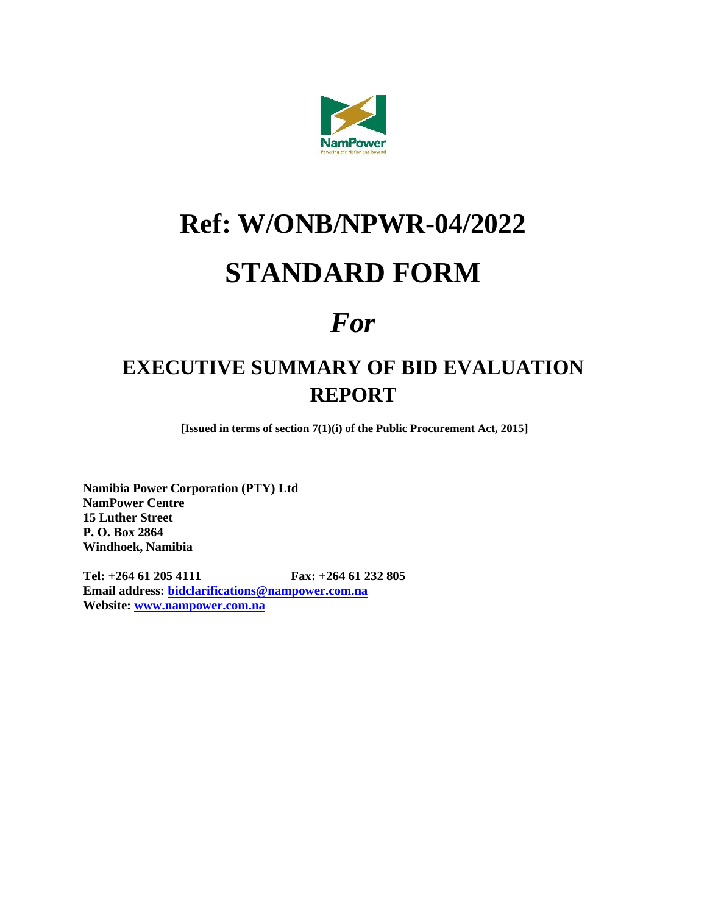

# **Ref: W/ONB/NPWR-04/2022**

### **STANDARD FORM**

## *For*

### **EXECUTIVE SUMMARY OF BID EVALUATION REPORT**

**[Issued in terms of section 7(1)(i) of the Public Procurement Act, 2015]**

**Namibia Power Corporation (PTY) Ltd NamPower Centre 15 Luther Street P. O. Box 2864 Windhoek, Namibia**

**Tel: +264 61 205 4111 Fax: +264 61 232 805 Email address: [bidclarifications@nampower.com.na](mailto:bidclarifications@nampower.com.na) Website: [www.nampower.com.na](http://www.nampower.com.na/)**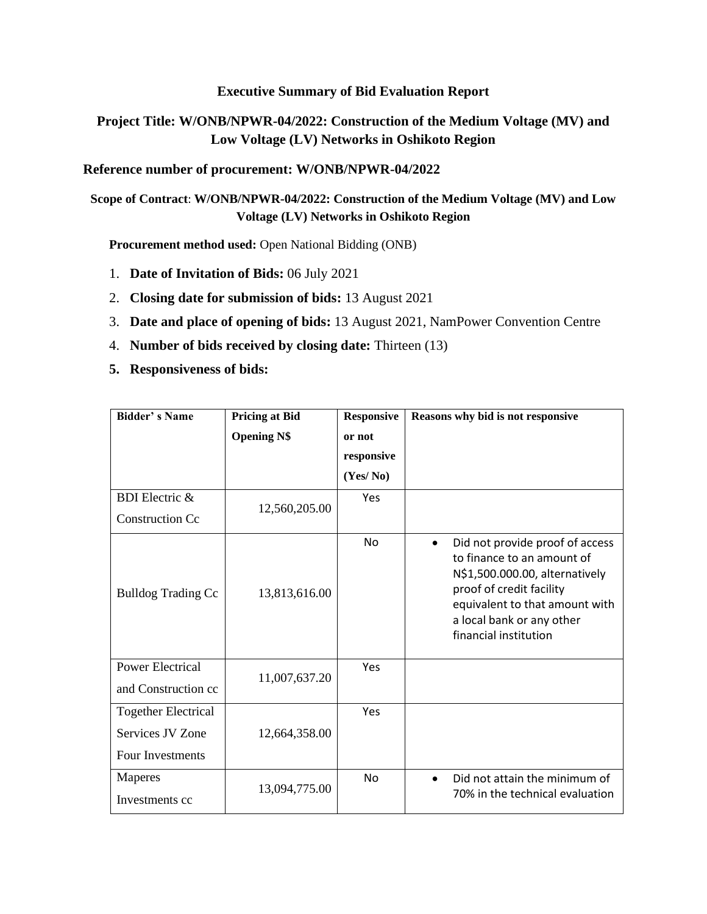#### **Executive Summary of Bid Evaluation Report**

#### **Project Title: W/ONB/NPWR-04/2022: Construction of the Medium Voltage (MV) and Low Voltage (LV) Networks in Oshikoto Region**

**Reference number of procurement: W/ONB/NPWR-04/2022**

#### **Scope of Contract**: **W/ONB/NPWR-04/2022: Construction of the Medium Voltage (MV) and Low Voltage (LV) Networks in Oshikoto Region**

**Procurement method used:** Open National Bidding (ONB)

- 1. **Date of Invitation of Bids:** 06 July 2021
- 2. **Closing date for submission of bids:** 13 August 2021
- 3. **Date and place of opening of bids:** 13 August 2021, NamPower Convention Centre
- 4. **Number of bids received by closing date:** Thirteen (13)
- **5. Responsiveness of bids:**

| <b>Bidder's Name</b>       | <b>Pricing at Bid</b> | <b>Responsive</b> | Reasons why bid is not responsive                                                                                                                                                                                                |  |  |
|----------------------------|-----------------------|-------------------|----------------------------------------------------------------------------------------------------------------------------------------------------------------------------------------------------------------------------------|--|--|
|                            | <b>Opening N\$</b>    | or not            |                                                                                                                                                                                                                                  |  |  |
|                            |                       | responsive        |                                                                                                                                                                                                                                  |  |  |
|                            |                       | (Yes/No)          |                                                                                                                                                                                                                                  |  |  |
| <b>BDI</b> Electric &      |                       | <b>Yes</b>        |                                                                                                                                                                                                                                  |  |  |
| <b>Construction Cc</b>     | 12,560,205.00         |                   |                                                                                                                                                                                                                                  |  |  |
| <b>Bulldog Trading Cc</b>  | 13,813,616.00         | No                | Did not provide proof of access<br>$\bullet$<br>to finance to an amount of<br>N\$1,500.000.00, alternatively<br>proof of credit facility<br>equivalent to that amount with<br>a local bank or any other<br>financial institution |  |  |
| <b>Power Electrical</b>    | 11,007,637.20         | Yes               |                                                                                                                                                                                                                                  |  |  |
| and Construction cc        |                       |                   |                                                                                                                                                                                                                                  |  |  |
| <b>Together Electrical</b> |                       | Yes               |                                                                                                                                                                                                                                  |  |  |
| Services JV Zone           | 12,664,358.00         |                   |                                                                                                                                                                                                                                  |  |  |
| <b>Four Investments</b>    |                       |                   |                                                                                                                                                                                                                                  |  |  |
| Maperes                    | 13,094,775.00         | No                | Did not attain the minimum of<br>$\bullet$                                                                                                                                                                                       |  |  |
| Investments cc             |                       |                   | 70% in the technical evaluation                                                                                                                                                                                                  |  |  |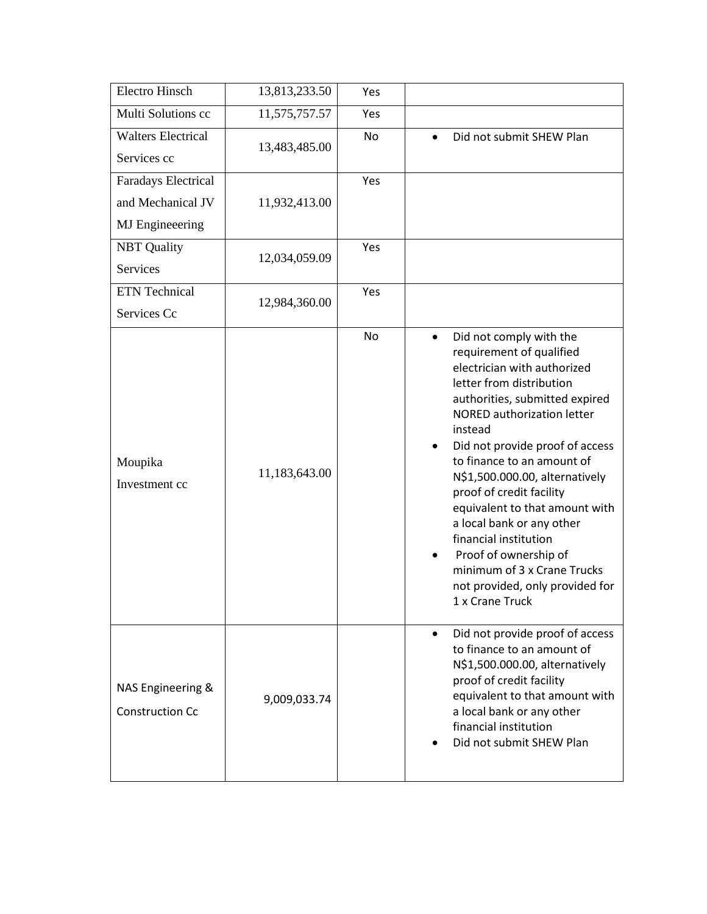| <b>Electro Hinsch</b>                       | 13,813,233.50 | Yes |                                                                                                                                                                                                                                                                                                                                                                                                                                                                                                                                                                 |
|---------------------------------------------|---------------|-----|-----------------------------------------------------------------------------------------------------------------------------------------------------------------------------------------------------------------------------------------------------------------------------------------------------------------------------------------------------------------------------------------------------------------------------------------------------------------------------------------------------------------------------------------------------------------|
| Multi Solutions cc                          | 11,575,757.57 | Yes |                                                                                                                                                                                                                                                                                                                                                                                                                                                                                                                                                                 |
| <b>Walters Electrical</b>                   | 13,483,485.00 | No  | Did not submit SHEW Plan                                                                                                                                                                                                                                                                                                                                                                                                                                                                                                                                        |
| Services cc                                 |               |     |                                                                                                                                                                                                                                                                                                                                                                                                                                                                                                                                                                 |
| Faradays Electrical                         |               | Yes |                                                                                                                                                                                                                                                                                                                                                                                                                                                                                                                                                                 |
| and Mechanical JV                           | 11,932,413.00 |     |                                                                                                                                                                                                                                                                                                                                                                                                                                                                                                                                                                 |
| MJ Engineeering                             |               |     |                                                                                                                                                                                                                                                                                                                                                                                                                                                                                                                                                                 |
| <b>NBT</b> Quality                          | 12,034,059.09 | Yes |                                                                                                                                                                                                                                                                                                                                                                                                                                                                                                                                                                 |
| Services                                    |               |     |                                                                                                                                                                                                                                                                                                                                                                                                                                                                                                                                                                 |
| <b>ETN</b> Technical                        | 12,984,360.00 | Yes |                                                                                                                                                                                                                                                                                                                                                                                                                                                                                                                                                                 |
| Services Cc                                 |               |     |                                                                                                                                                                                                                                                                                                                                                                                                                                                                                                                                                                 |
| Moupika<br>Investment cc                    | 11,183,643.00 | No  | Did not comply with the<br>$\bullet$<br>requirement of qualified<br>electrician with authorized<br>letter from distribution<br>authorities, submitted expired<br><b>NORED authorization letter</b><br>instead<br>Did not provide proof of access<br>$\bullet$<br>to finance to an amount of<br>N\$1,500.000.00, alternatively<br>proof of credit facility<br>equivalent to that amount with<br>a local bank or any other<br>financial institution<br>Proof of ownership of<br>minimum of 3 x Crane Trucks<br>not provided, only provided for<br>1 x Crane Truck |
| NAS Engineering &<br><b>Construction Cc</b> | 9,009,033.74  |     | Did not provide proof of access<br>$\bullet$<br>to finance to an amount of<br>N\$1,500.000.00, alternatively<br>proof of credit facility<br>equivalent to that amount with<br>a local bank or any other<br>financial institution<br>Did not submit SHEW Plan                                                                                                                                                                                                                                                                                                    |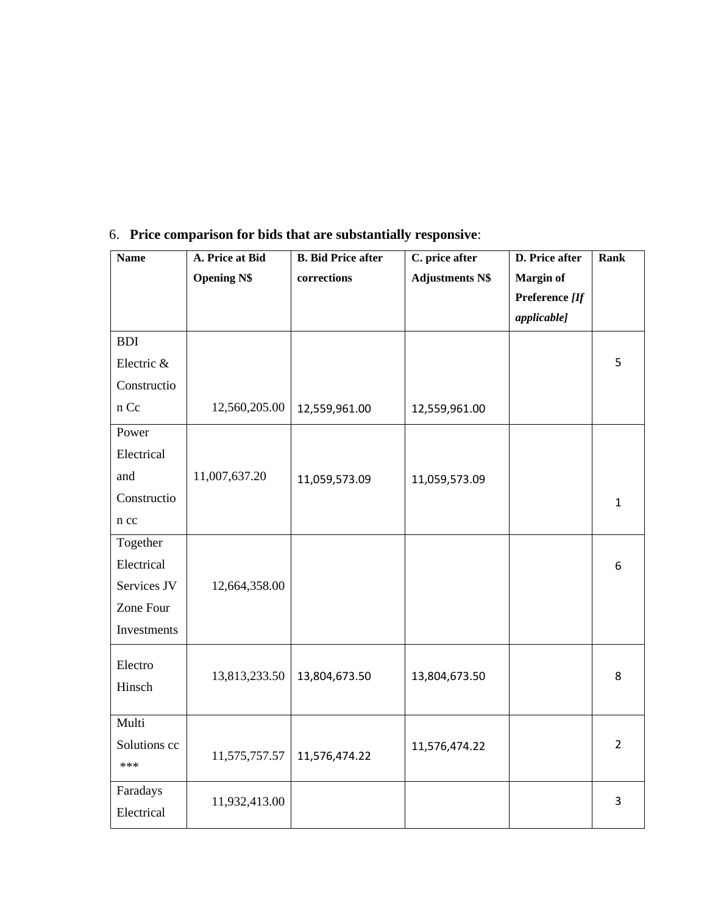| <b>Name</b>  | A. Price at Bid    | <b>B.</b> Bid Price after | C. price after         | D. Price after   | Rank           |
|--------------|--------------------|---------------------------|------------------------|------------------|----------------|
|              | <b>Opening N\$</b> | corrections               | <b>Adjustments N\$</b> | <b>Margin of</b> |                |
|              |                    |                           |                        | Preference [If   |                |
|              |                    |                           |                        | applicable]      |                |
| <b>BDI</b>   |                    |                           |                        |                  |                |
| Electric &   |                    |                           |                        |                  | 5              |
| Constructio  |                    |                           |                        |                  |                |
| n Cc         | 12,560,205.00      | 12,559,961.00             | 12,559,961.00          |                  |                |
| Power        |                    |                           |                        |                  |                |
| Electrical   |                    |                           |                        |                  |                |
| and          | 11,007,637.20      | 11,059,573.09             | 11,059,573.09          |                  |                |
| Constructio  |                    |                           |                        |                  | $\mathbf{1}$   |
| n cc         |                    |                           |                        |                  |                |
| Together     |                    |                           |                        |                  |                |
| Electrical   |                    |                           |                        |                  | 6              |
| Services JV  | 12,664,358.00      |                           |                        |                  |                |
| Zone Four    |                    |                           |                        |                  |                |
| Investments  |                    |                           |                        |                  |                |
| Electro      |                    |                           |                        |                  |                |
| Hinsch       | 13,813,233.50      | 13,804,673.50             | 13,804,673.50          |                  | 8              |
|              |                    |                           |                        |                  |                |
| Multi        |                    |                           |                        |                  |                |
| Solutions cc |                    |                           | 11,576,474.22          |                  | $\overline{2}$ |
| $***$        | 11,575,757.57      | 11,576,474.22             |                        |                  |                |
| Faradays     |                    |                           |                        |                  | 3              |
| Electrical   | 11,932,413.00      |                           |                        |                  |                |

### 6. **Price comparison for bids that are substantially responsive**: